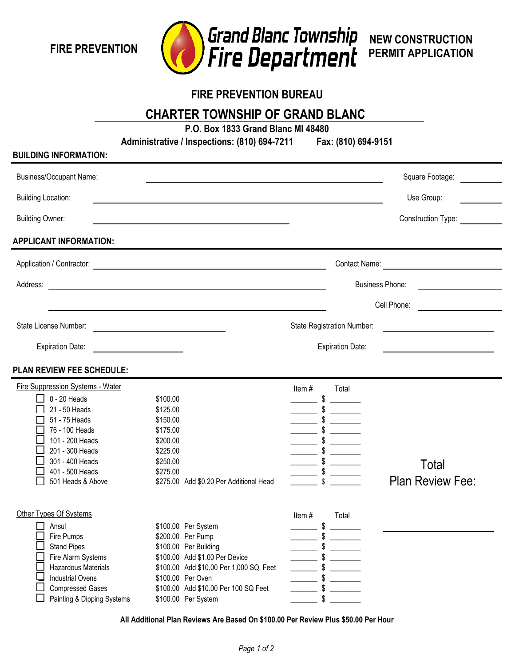**FIRE PREVENTION**



**NEW CONSTRUCTION PERMIT APPLICATION**

# **FIRE PREVENTION BUREAU**

**CHARTER TOWNSHIP OF GRAND BLANC** 

**P.O. Box 1833 Grand Blanc MI 48480**

**Administrative / Inspections: (810) 694-7211 Fax: (810) 694-9151**

#### **BUILDING INFORMATION:**

| <b>Business/Occupant Name:</b>                                                                                                                                                                          |                                                                                                                                                                                                                                    |                                                                                                                                                                                                                                                                 | Square Footage:                                                        |
|---------------------------------------------------------------------------------------------------------------------------------------------------------------------------------------------------------|------------------------------------------------------------------------------------------------------------------------------------------------------------------------------------------------------------------------------------|-----------------------------------------------------------------------------------------------------------------------------------------------------------------------------------------------------------------------------------------------------------------|------------------------------------------------------------------------|
| <b>Building Location:</b>                                                                                                                                                                               |                                                                                                                                                                                                                                    |                                                                                                                                                                                                                                                                 | Use Group:                                                             |
| <b>Building Owner:</b>                                                                                                                                                                                  |                                                                                                                                                                                                                                    |                                                                                                                                                                                                                                                                 | Construction Type:                                                     |
| APPLICANT INFORMATION:                                                                                                                                                                                  |                                                                                                                                                                                                                                    |                                                                                                                                                                                                                                                                 |                                                                        |
|                                                                                                                                                                                                         | Application / Contractor: <u>Contractor</u>                                                                                                                                                                                        |                                                                                                                                                                                                                                                                 |                                                                        |
| Address:                                                                                                                                                                                                |                                                                                                                                                                                                                                    |                                                                                                                                                                                                                                                                 | <b>Business Phone:</b><br>the control of the control of the control of |
|                                                                                                                                                                                                         |                                                                                                                                                                                                                                    |                                                                                                                                                                                                                                                                 | Cell Phone:                                                            |
| State License Number:                                                                                                                                                                                   |                                                                                                                                                                                                                                    | State Registration Number:                                                                                                                                                                                                                                      | <u> 1980 - Andrea Albert III, poet e pre</u>                           |
| <b>Expiration Date:</b>                                                                                                                                                                                 |                                                                                                                                                                                                                                    | <b>Expiration Date:</b>                                                                                                                                                                                                                                         |                                                                        |
| PLAN REVIEW FEE SCHEDULE:                                                                                                                                                                               |                                                                                                                                                                                                                                    |                                                                                                                                                                                                                                                                 |                                                                        |
| Fire Suppression Systems - Water<br>$0 - 20$ Heads<br>21 - 50 Heads<br>51 - 75 Heads<br>76 - 100 Heads<br>101 - 200 Heads<br>201 - 300 Heads<br>301 - 400 Heads<br>401 - 500 Heads<br>501 Heads & Above | \$100.00<br>\$125.00<br>\$150.00<br>\$175.00<br>\$200.00<br>\$225.00<br>\$250.00<br>\$275.00<br>\$275.00 Add \$0.20 Per Additional Head                                                                                            | Total<br>Item#<br>$\frac{1}{\sqrt{2}}$ \$<br>$\frac{\ }{\ }$ $\frac{\ }{\ }$<br>$\frac{\ }{\ }$ $\frac{\ }{\ }$                                                                                                                                                 | Total<br><b>Plan Review Fee:</b>                                       |
| Other Types Of Systems<br>Ansul<br>Fire Pumps<br><b>Stand Pipes</b><br>Fire Alarm Systems<br>Hazardous Materials<br><b>Industrial Ovens</b><br><b>Compressed Gases</b><br>Painting & Dipping Systems    | \$100.00 Per System<br>\$200.00 Per Pump<br>\$100.00 Per Building<br>\$100.00 Add \$1.00 Per Device<br>\$100.00 Add \$10.00 Per 1,000 SQ. Feet<br>\$100.00 Per Oven<br>\$100.00 Add \$10.00 Per 100 SQ Feet<br>\$100.00 Per System | Item#<br>Total<br>\$<br>\$<br>$-$ \$ $-$<br>$\overline{\phantom{a}}$ \$ $\overline{\phantom{a}}$<br>$\overline{\phantom{a}}$ \$ $\overline{\phantom{a}}$<br>$\frac{1}{\sqrt{2}}$ \$<br>$\frac{1}{2}$ \$<br>$\overline{\phantom{1}}$ \$ $\overline{\phantom{1}}$ |                                                                        |

**All Additional Plan Reviews Are Based On \$100.00 Per Review Plus \$50.00 Per Hour**